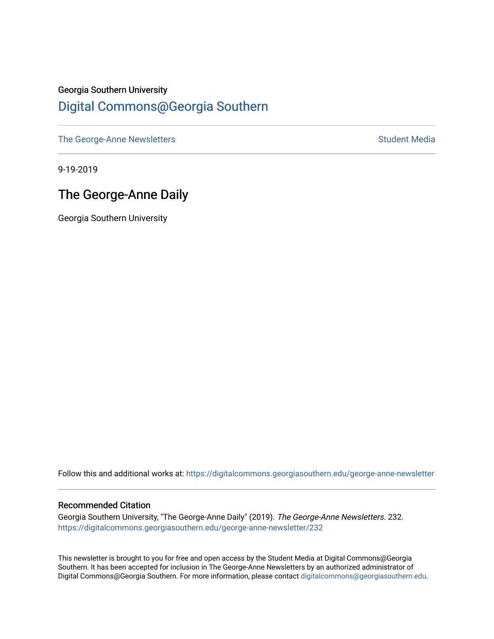### Georgia Southern University [Digital Commons@Georgia Southern](https://digitalcommons.georgiasouthern.edu/)

[The George-Anne Newsletters](https://digitalcommons.georgiasouthern.edu/george-anne-newsletter) **Student Media** Student Media

9-19-2019

#### The George-Anne Daily

Georgia Southern University

Follow this and additional works at: [https://digitalcommons.georgiasouthern.edu/george-anne-newsletter](https://digitalcommons.georgiasouthern.edu/george-anne-newsletter?utm_source=digitalcommons.georgiasouthern.edu%2Fgeorge-anne-newsletter%2F232&utm_medium=PDF&utm_campaign=PDFCoverPages)

#### Recommended Citation

Georgia Southern University, "The George-Anne Daily" (2019). The George-Anne Newsletters. 232. [https://digitalcommons.georgiasouthern.edu/george-anne-newsletter/232](https://digitalcommons.georgiasouthern.edu/george-anne-newsletter/232?utm_source=digitalcommons.georgiasouthern.edu%2Fgeorge-anne-newsletter%2F232&utm_medium=PDF&utm_campaign=PDFCoverPages) 

This newsletter is brought to you for free and open access by the Student Media at Digital Commons@Georgia Southern. It has been accepted for inclusion in The George-Anne Newsletters by an authorized administrator of Digital Commons@Georgia Southern. For more information, please contact [digitalcommons@georgiasouthern.edu.](mailto:digitalcommons@georgiasouthern.edu)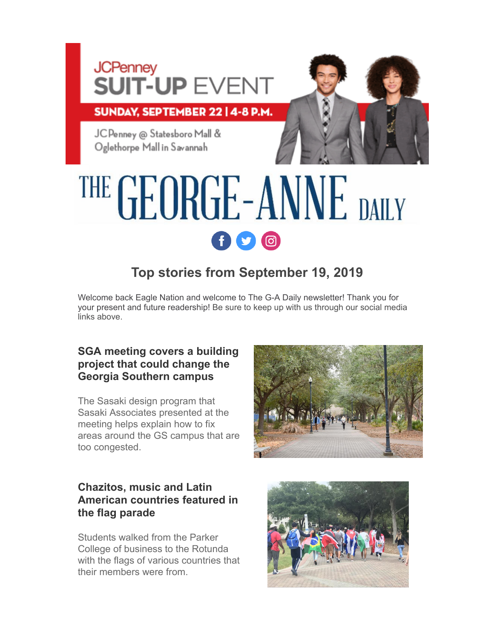# **JCPenney SUIT-UP EVENT**

SUNDAY, SEPTEMBER 22 | 4-8 P.M.

JCPenney @ Statesboro Mall & Oglethorpe Mall in Savannah



# THE GEORGE-ANNE DAILY  $f$  $O$  $O$

## **Top stories from September 19, 2019**

Welcome back Eagle Nation and welcome to The G-A Daily newsletter! Thank you for your present and future readership! Be sure to keep up with us through our social media links above.

#### **[SGA meeting covers a building](http://r20.rs6.net/tn.jsp?f=0018-Wu2xFWuFbWyidOde3TLsDRjdlhh1Es7bP44ediSLQi_M5yyiHzDn2k4gpMFlKTIDxmVZry0kLyUsnO2CgBa1XnoIiddBPk-GqbYdrDmAJwgO99cnQZ6jjENyOag6osH0_BmU1yjOgs2EUwJEhhUAHRTeHtkmBag4a0GivD3pIRRwyph8J9pRYqMG5pQSjS2UBe8F9qwuzhLqa4cOWGEXHr1bWGZOdM&c=o2vP6PghM5TrBo6GvBuOeJskHtYXFCG4t-ddGmms3MkymIwjVsI5yg==&ch=m4Ur5ZYD6j-NbYKw9l_9qJ8AfP_zzuQKWIsAivClCeBsioFHW5I7PA==) project that could change the Georgia Southern campus**

The Sasaki design program that Sasaki Associates presented at the meeting helps explain how to fix areas around the GS campus that are too congested.

#### **Chazitos, music and Latin [American countries featured in](http://r20.rs6.net/tn.jsp?f=0018-Wu2xFWuFbWyidOde3TLsDRjdlhh1Es7bP44ediSLQi_M5yyiHzDn2k4gpMFlKTxFJk7g17auzK91iYue_vv2XEJacQzEmvKQtabA6932cnNF1kx1rcfGRe-h33PkK8NC0IYdKmgh7DAjP9E963qF-llh1FNw87IOAVUp53FoNhoHYz6uUarXbEEi9ZNLTACfa0NmR70wq5YePP8dYK4d8tKqZcIzr9&c=o2vP6PghM5TrBo6GvBuOeJskHtYXFCG4t-ddGmms3MkymIwjVsI5yg==&ch=m4Ur5ZYD6j-NbYKw9l_9qJ8AfP_zzuQKWIsAivClCeBsioFHW5I7PA==) the flag parade**

Students walked from the Parker College of business to the Rotunda with the flags of various countries that their members were from.

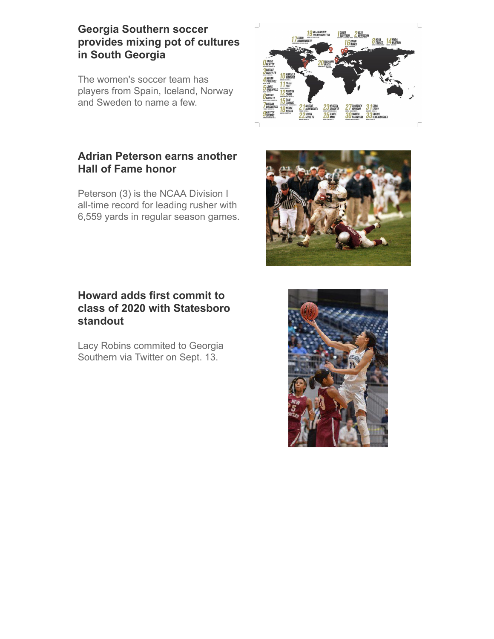#### **Georgia Southern soccer [provides mixing pot of cultures](http://r20.rs6.net/tn.jsp?f=0018-Wu2xFWuFbWyidOde3TLsDRjdlhh1Es7bP44ediSLQi_M5yyiHzDn2k4gpMFlKTvckilXUCb5Mv-NFDTqvBCk3YM-NDKGNSX9-fV5iTbgBwJ1Eg3RzZeha0L5SZwLVzml06SiKoZlV7T5orcsp41k1jTnwbsvKIyDv9AupVK3RhUSstWfyOcrji5ezrLtItqFfsDI_6R_TSiWPojobHLnmvfx60G6cSI0_aXH0BpOY=&c=o2vP6PghM5TrBo6GvBuOeJskHtYXFCG4t-ddGmms3MkymIwjVsI5yg==&ch=m4Ur5ZYD6j-NbYKw9l_9qJ8AfP_zzuQKWIsAivClCeBsioFHW5I7PA==) in South Georgia**

The women's soccer team has players from Spain, Iceland, Norway and Sweden to name a few.



#### **[Adrian Peterson earns another](http://r20.rs6.net/tn.jsp?f=0018-Wu2xFWuFbWyidOde3TLsDRjdlhh1Es7bP44ediSLQi_M5yyiHzDn2k4gpMFlKTMiTIvXxZ7_uqBPTuhCV9A6MkSLOq3d4z6w-gMPBnYW6i1qOTOtLGdNvNRDPW8x7lduvV7v94lQrhdJ9H4bKQMnJGtJ0-cN2gktmrqrLV_O0eSUU0-fQlgkb8N90ekDTSGp12iS99hQEW61eB3eyAnyn6ihRSjREhPlPb8QUvunQ=&c=o2vP6PghM5TrBo6GvBuOeJskHtYXFCG4t-ddGmms3MkymIwjVsI5yg==&ch=m4Ur5ZYD6j-NbYKw9l_9qJ8AfP_zzuQKWIsAivClCeBsioFHW5I7PA==) Hall of Fame honor**

Peterson (3) is the NCAA Division I all-time record for leading rusher with 6,559 yards in regular season games.

#### **Howard adds first commit to [class of 2020 with Statesboro](http://r20.rs6.net/tn.jsp?f=0018-Wu2xFWuFbWyidOde3TLsDRjdlhh1Es7bP44ediSLQi_M5yyiHzDn2k4gpMFlKTywd_fdUUagVKNH4E7a1awmhsQVJRQsvHFQPNspk4qjVkOnhZR0A3jN0LXLcOuUjB_25jN0eYAWp-E8bh3W4Za5OsfWGR_iflxEws7Y3ZcP5wOJRgqCJ5esu53geIWDK9-jvfcm8HEPr7uMDjVR9Qy0s_p8Rs7QjaYcFf-L6Jutc=&c=o2vP6PghM5TrBo6GvBuOeJskHtYXFCG4t-ddGmms3MkymIwjVsI5yg==&ch=m4Ur5ZYD6j-NbYKw9l_9qJ8AfP_zzuQKWIsAivClCeBsioFHW5I7PA==) standout**

Lacy Robins commited to Georgia Southern via Twitter on Sept. 13.